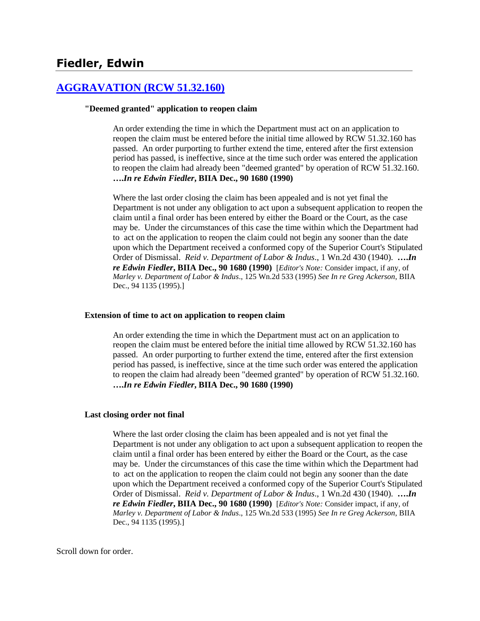# **Fiedler, Edwin**

## **[AGGRAVATION \(RCW 51.32.160\)](http://www.biia.wa.gov/SDSubjectIndex.html#AGGRAVATION)**

### **"Deemed granted" application to reopen claim**

An order extending the time in which the Department must act on an application to reopen the claim must be entered before the initial time allowed by RCW 51.32.160 has passed. An order purporting to further extend the time, entered after the first extension period has passed, is ineffective, since at the time such order was entered the application to reopen the claim had already been "deemed granted" by operation of RCW 51.32.160. **….***In re Edwin Fiedler***, BIIA Dec., 90 1680 (1990)**

Where the last order closing the claim has been appealed and is not yet final the Department is not under any obligation to act upon a subsequent application to reopen the claim until a final order has been entered by either the Board or the Court, as the case may be. Under the circumstances of this case the time within which the Department had to act on the application to reopen the claim could not begin any sooner than the date upon which the Department received a conformed copy of the Superior Court's Stipulated Order of Dismissal. *Reid v. Department of Labor & Indus*., 1 Wn.2d 430 (1940). **….***In re Edwin Fiedler***, BIIA Dec., 90 1680 (1990)** [*Editor's Note:* Consider impact, if any, of *Marley v. Department of Labor & Indus*., 125 Wn.2d 533 (1995) *See In re Greg Ackerson*, BIIA Dec., 94 1135 (1995).]

#### **Extension of time to act on application to reopen claim**

An order extending the time in which the Department must act on an application to reopen the claim must be entered before the initial time allowed by RCW 51.32.160 has passed. An order purporting to further extend the time, entered after the first extension period has passed, is ineffective, since at the time such order was entered the application to reopen the claim had already been "deemed granted" by operation of RCW 51.32.160. **….***In re Edwin Fiedler***, BIIA Dec., 90 1680 (1990)**

### **Last closing order not final**

Where the last order closing the claim has been appealed and is not yet final the Department is not under any obligation to act upon a subsequent application to reopen the claim until a final order has been entered by either the Board or the Court, as the case may be. Under the circumstances of this case the time within which the Department had to act on the application to reopen the claim could not begin any sooner than the date upon which the Department received a conformed copy of the Superior Court's Stipulated Order of Dismissal. *Reid v. Department of Labor & Indus*., 1 Wn.2d 430 (1940). **….***In re Edwin Fiedler***, BIIA Dec., 90 1680 (1990)** [*Editor's Note:* Consider impact, if any, of *Marley v. Department of Labor & Indus*., 125 Wn.2d 533 (1995) *See In re Greg Ackerson*, BIIA Dec., 94 1135 (1995).]

Scroll down for order.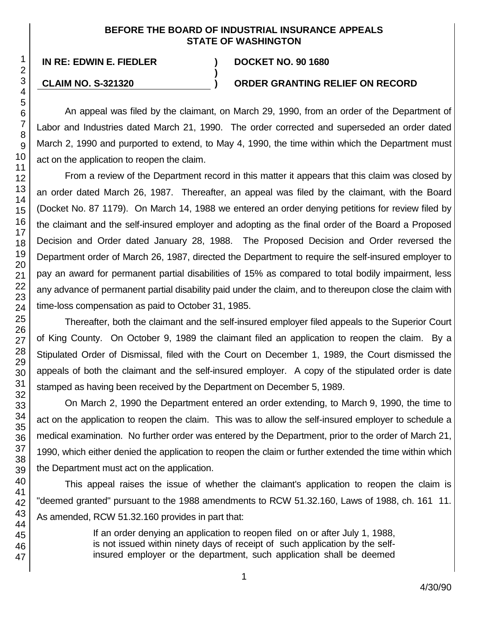## **BEFORE THE BOARD OF INDUSTRIAL INSURANCE APPEALS STATE OF WASHINGTON**

**)**

## **IN RE: EDWIN E. FIEDLER ) DOCKET NO. 90 1680**

### **CLAIM NO. S-321320 ) ORDER GRANTING RELIEF ON RECORD**

An appeal was filed by the claimant, on March 29, 1990, from an order of the Department of Labor and Industries dated March 21, 1990. The order corrected and superseded an order dated March 2, 1990 and purported to extend, to May 4, 1990, the time within which the Department must act on the application to reopen the claim.

From a review of the Department record in this matter it appears that this claim was closed by an order dated March 26, 1987. Thereafter, an appeal was filed by the claimant, with the Board (Docket No. 87 1179). On March 14, 1988 we entered an order denying petitions for review filed by the claimant and the self-insured employer and adopting as the final order of the Board a Proposed Decision and Order dated January 28, 1988. The Proposed Decision and Order reversed the Department order of March 26, 1987, directed the Department to require the self-insured employer to pay an award for permanent partial disabilities of 15% as compared to total bodily impairment, less any advance of permanent partial disability paid under the claim, and to thereupon close the claim with time-loss compensation as paid to October 31, 1985.

Thereafter, both the claimant and the self-insured employer filed appeals to the Superior Court of King County. On October 9, 1989 the claimant filed an application to reopen the claim. By a Stipulated Order of Dismissal, filed with the Court on December 1, 1989, the Court dismissed the appeals of both the claimant and the self-insured employer. A copy of the stipulated order is date stamped as having been received by the Department on December 5, 1989.

On March 2, 1990 the Department entered an order extending, to March 9, 1990, the time to act on the application to reopen the claim. This was to allow the self-insured employer to schedule a medical examination. No further order was entered by the Department, prior to the order of March 21, 1990, which either denied the application to reopen the claim or further extended the time within which the Department must act on the application.

This appeal raises the issue of whether the claimant's application to reopen the claim is "deemed granted" pursuant to the 1988 amendments to RCW 51.32.160, Laws of 1988, ch. 161 11. As amended, RCW 51.32.160 provides in part that:

> If an order denying an application to reopen filed on or after July 1, 1988, is not issued within ninety days of receipt of such application by the selfinsured employer or the department, such application shall be deemed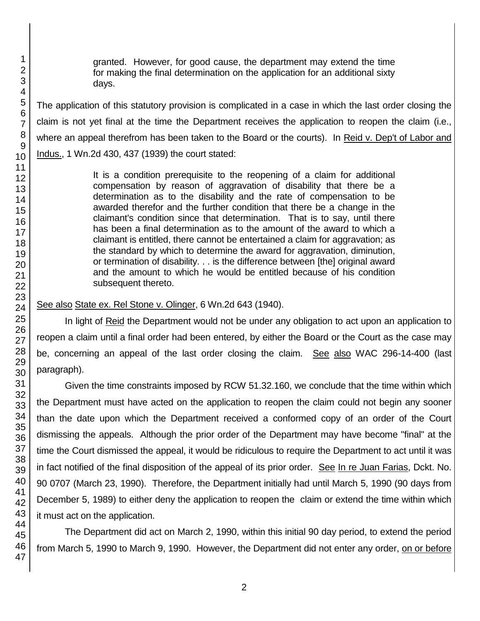granted. However, for good cause, the department may extend the time for making the final determination on the application for an additional sixty days.

The application of this statutory provision is complicated in a case in which the last order closing the claim is not yet final at the time the Department receives the application to reopen the claim (i.e., where an appeal therefrom has been taken to the Board or the courts). In Reid v. Dep't of Labor and Indus., 1 Wn.2d 430, 437 (1939) the court stated:

> It is a condition prerequisite to the reopening of a claim for additional compensation by reason of aggravation of disability that there be a determination as to the disability and the rate of compensation to be awarded therefor and the further condition that there be a change in the claimant's condition since that determination. That is to say, until there has been a final determination as to the amount of the award to which a claimant is entitled, there cannot be entertained a claim for aggravation; as the standard by which to determine the award for aggravation, diminution, or termination of disability. . . is the difference between [the] original award and the amount to which he would be entitled because of his condition subsequent thereto.

See also State ex. Rel Stone v. Olinger, 6 Wn.2d 643 (1940).

In light of Reid the Department would not be under any obligation to act upon an application to reopen a claim until a final order had been entered, by either the Board or the Court as the case may be, concerning an appeal of the last order closing the claim. See also WAC 296-14-400 (last paragraph).

Given the time constraints imposed by RCW 51.32.160, we conclude that the time within which the Department must have acted on the application to reopen the claim could not begin any sooner than the date upon which the Department received a conformed copy of an order of the Court dismissing the appeals. Although the prior order of the Department may have become "final" at the time the Court dismissed the appeal, it would be ridiculous to require the Department to act until it was in fact notified of the final disposition of the appeal of its prior order. See In re Juan Farias, Dckt. No. 90 0707 (March 23, 1990). Therefore, the Department initially had until March 5, 1990 (90 days from December 5, 1989) to either deny the application to reopen the claim or extend the time within which it must act on the application.

The Department did act on March 2, 1990, within this initial 90 day period, to extend the period from March 5, 1990 to March 9, 1990. However, the Department did not enter any order, on or before